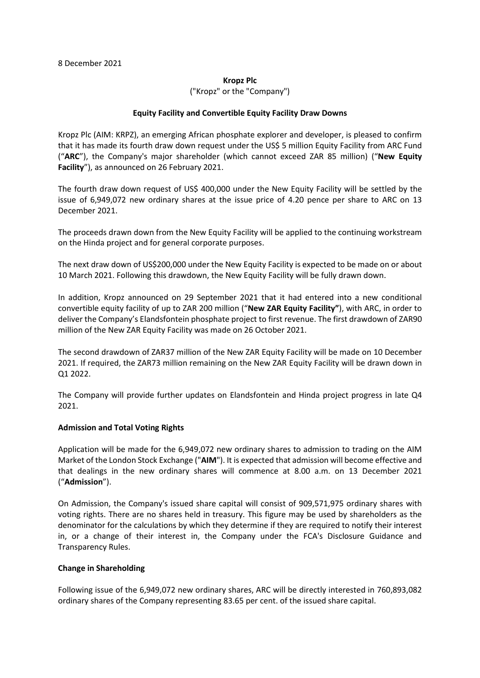#### **Kropz Plc**

("Kropz" or the "Company")

## **Equity Facility and Convertible Equity Facility Draw Downs**

Kropz Plc (AIM: KRPZ), an emerging African phosphate explorer and developer, is pleased to confirm that it has made its fourth draw down request under the US\$ 5 million Equity Facility from ARC Fund ("**ARC**"), the Company's major shareholder (which cannot exceed ZAR 85 million) ("**New Equity Facility**"), as announced on 26 February 2021.

The fourth draw down request of US\$ 400,000 under the New Equity Facility will be settled by the issue of 6,949,072 new ordinary shares at the issue price of 4.20 pence per share to ARC on 13 December 2021.

The proceeds drawn down from the New Equity Facility will be applied to the continuing workstream on the Hinda project and for general corporate purposes.

The next draw down of US\$200,000 under the New Equity Facility is expected to be made on or about 10 March 2021. Following this drawdown, the New Equity Facility will be fully drawn down.

In addition, Kropz announced on 29 September 2021 that it had entered into a new conditional convertible equity facility of up to ZAR 200 million ("**New ZAR Equity Facility"**), with ARC, in order to deliver the Company's Elandsfontein phosphate project to first revenue. The first drawdown of ZAR90 million of the New ZAR Equity Facility was made on 26 October 2021.

The second drawdown of ZAR37 million of the New ZAR Equity Facility will be made on 10 December 2021. If required, the ZAR73 million remaining on the New ZAR Equity Facility will be drawn down in Q1 2022.

The Company will provide further updates on Elandsfontein and Hinda project progress in late Q4 2021.

## **Admission and Total Voting Rights**

Application will be made for the 6,949,072 new ordinary shares to admission to trading on the AIM Market of the London Stock Exchange ("**AIM**"). It is expected that admission will become effective and that dealings in the new ordinary shares will commence at 8.00 a.m. on 13 December 2021 ("**Admission**").

On Admission, the Company's issued share capital will consist of 909,571,975 ordinary shares with voting rights. There are no shares held in treasury. This figure may be used by shareholders as the denominator for the calculations by which they determine if they are required to notify their interest in, or a change of their interest in, the Company under the FCA's Disclosure Guidance and Transparency Rules.

## **Change in Shareholding**

Following issue of the 6,949,072 new ordinary shares, ARC will be directly interested in 760,893,082 ordinary shares of the Company representing 83.65 per cent. of the issued share capital.